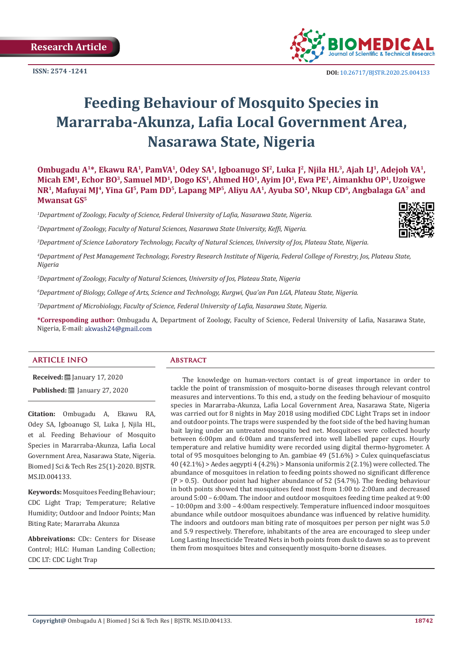**Research Article**

**ISSN: 2574 -1241**



# **Feeding Behaviour of Mosquito Species in Mararraba-Akunza, Lafia Local Government Area, Nasarawa State, Nigeria**

**Ombugadu A1\*, Ekawu RA1, PamVA1, Odey SA1, Igboanugo SI2, Luka J2, Njila HL3, Ajah LJ1, Adejoh VA1, Micah EM1, Echor BO3, Samuel MD<sup>1</sup>, Dogo KS<sup>1</sup>, Ahmed HO<sup>1</sup>, Ayim JO1, Ewa PE1, Aimankhu OP1, Uzoigwe NR1, Mafuyai MJ4, Yina GI<sup>5</sup>, Pam DD5, Lapang MP5, Aliyu AA1, Ayuba SO1, Nkup CD<sup>6</sup>, Angbalaga GA7 and Mwansat GS<sup>5</sup>**

*1 Department of Zoology, Faculty of Science, Federal University of Lafia, Nasarawa State, Nigeria.*

*2 Department of Zoology, Faculty of Natural Sciences, Nasarawa State University, Keffi, Nigeria.*

*3 Department of Science Laboratory Technology, Faculty of Natural Sciences, University of Jos, Plateau State, Nigeria.*

*4 Department of Pest Management Technology, Forestry Research Institute of Nigeria, Federal College of Forestry, Jos, Plateau State, Nigeria*

*5 Department of Zoology, Faculty of Natural Sciences, University of Jos, Plateau State, Nigeria*

*6 Department of Biology, College of Arts, Science and Technology, Kurgwi, Qua'an Pan LGA, Plateau State, Nigeria.*

*7 Department of Microbiology, Faculty of Science, Federal University of Lafia, Nasarawa State, Nigeria.*

**\*Corresponding author:** Ombugadu A, Department of Zoology, Faculty of Science, Federal University of Lafia, Nasarawa State, Nigeria, E-mail: akwash24@gmail.com

#### **ARTICLE INFO Abstract**

**Received:** January 17, 2020 **Published: <u>Ill</u>** January 27, 2020

**Citation:** Ombugadu A, Ekawu RA, Odey SA, Igboanugo SI, Luka J, Njila HL, et al. Feeding Behaviour of Mosquito Species in Mararraba-Akunza, Lafia Local Government Area, Nasarawa State, Nigeria. Biomed J Sci & Tech Res 25(1)-2020. BJSTR. MS.ID.004133.

**Keywords:** Mosquitoes Feeding Behaviour; CDC Light Trap; Temperature; Relative Humidity; Outdoor and Indoor Points; Man Biting Rate; Mararraba Akunza

**Abbreivations:** CDc: Centers for Disease Control; HLC: Human Landing Collection; CDC LT: CDC Light Trap

The knowledge on human-vectors contact is of great importance in order to tackle the point of transmission of mosquito-borne diseases through relevant control measures and interventions. To this end, a study on the feeding behaviour of mosquito species in Mararraba-Akunza, Lafia Local Government Area, Nasarawa State, Nigeria was carried out for 8 nights in May 2018 using modified CDC Light Traps set in indoor and outdoor points. The traps were suspended by the foot side of the bed having human bait laying under an untreated mosquito bed net. Mosquitoes were collected hourly between 6:00pm and 6:00am and transferred into well labelled paper cups. Hourly temperature and relative humidity were recorded using digital thermo-hygrometer. A total of 95 mosquitoes belonging to An. gambiae 49 (51.6%) > Culex quinquefasciatus 40 (42.1%) > Aedes aegypti 4 (4.2%) > Mansonia uniformis 2 (2.1%) were collected. The abundance of mosquitoes in relation to feeding points showed no significant difference (P > 0.5). Outdoor point had higher abundance of 52 (54.7%). The feeding behaviour in both points showed that mosquitoes feed most from 1:00 to 2:00am and decreased around 5:00 – 6:00am. The indoor and outdoor mosquitoes feeding time peaked at 9:00 – 10:00pm and 3:00 – 4:00am respectively. Temperature influenced indoor mosquitoes abundance while outdoor mosquitoes abundance was influenced by relative humidity. The indoors and outdoors man biting rate of mosquitoes per person per night was 5.0 and 5.9 respectively. Therefore, inhabitants of the area are encouraged to sleep under Long Lasting Insecticide Treated Nets in both points from dusk to dawn so as to prevent them from mosquitoes bites and consequently mosquito-borne diseases.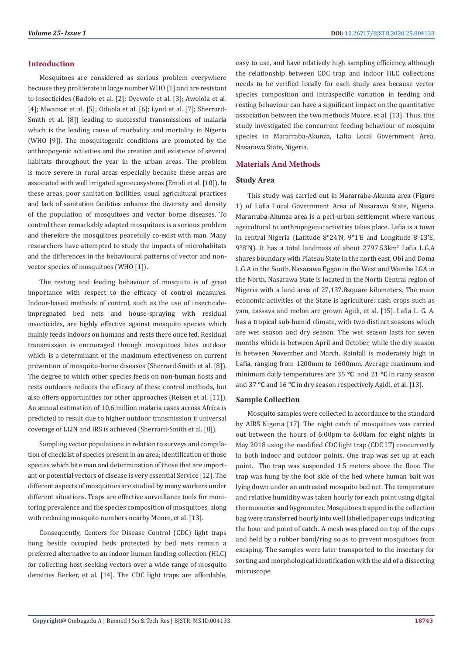#### **Introduction**

Mosquitoes are considered as serious problem everywhere because they proliferate in large number WHO [1] and are resistant to insecticides (Badolo et al. [2]; Oyewole et al. [3]; Awolola et al. [4]; Mwansat et al. [5]; Oduola et al. [6]; Lynd et al. [7]; Sherrard-Smith et al. [8]) leading to successful transmissions of malaria which is the leading cause of morbidity and mortality in Nigeria (WHO [9]). The mosquitogenic conditions are promoted by the anthropogenic activities and the creation and existence of several habitats throughout the year in the urban areas. The problem is more severe in rural areas especially because these areas are associated with well irrigated agroecosystems (Emidi et al. [10]). In these areas, poor sanitation facilities, usual agricultural practices and lack of sanitation facilities enhance the diversity and density of the population of mosquitoes and vector borne diseases. To control these remarkably adapted mosquitoes is a serious problem and therefore the mosquitoes peacefully co-exist with man. Many researchers have attempted to study the impacts of microhabitats and the differences in the behavioural patterns of vector and nonvector species of mosquitoes (WHO [1]).

The resting and feeding behaviour of mosquito is of great importance with respect to the efficacy of control measures. Indoor-based methods of control, such as the use of insecticideimpregnated bed nets and house-spraying with residual insecticides, are highly effective against mosquito species which mainly feeds indoors on humans and rests there once fed. Residual transmission is encouraged through mosquitoes bites outdoor which is a determinant of the maximum effectiveness on current prevention of mosquito-borne diseases (Sherrard-Smith et al. [8]). The degree to which other species feeds on non-human hosts and rests outdoors reduces the efficacy of these control methods, but also offers opportunities for other approaches (Reisen et al. [11]). An annual estimation of 10.6 million malaria cases across Africa is predicted to result due to higher outdoor transmission if universal coverage of LLIN and IRS is achieved (Sherrard-Smith et al. [8]).

Sampling vector populations in relation to surveys and compilation of checklist of species present in an area; identification of those species which bite man and determination of those that are important or potential vectors of disease is very essential Service [12]. The different aspects of mosquitoes are studied by many workers under different situations. Traps are effective surveillance tools for monitoring prevalence and the species composition of mosquitoes, along with reducing mosquito numbers nearby Moore, et al. [13].

Consequently, Centers for Disease Control (CDC) light traps hung beside occupied beds protected by bed nets remain a preferred alternative to an indoor human landing collection (HLC) for collecting host-seeking vectors over a wide range of mosquito densities Becker, et al. [14]. The CDC light traps are affordable, easy to use, and have relatively high sampling efficiency, although the relationship between CDC trap and indoor HLC collections needs to be verified locally for each study area because vector species composition and intraspecific variation in feeding and resting behaviour can have a significant impact on the quantitative association between the two methods Moore, et al. [13]. Thus, this study investigated the concurrent feeding behaviour of mosquito species in Mararraba-Akunza, Lafia Local Government Area, Nasarawa State, Nigeria.

#### **Materials And Methods**

#### **Study Area**

This study was carried out in Mararraba-Akunza area (Figure 1) of Lafia Local Government Area of Nasarawa State, Nigeria. Mararraba-Akunza area is a peri-urban settlement where various agricultural to anthropogenic activities takes place. Lafia is a town in central Nigeria (Latitude 8°24'N, 9°1'E and Longitude 8°13'E, 9°8'N). It has a total landmass of about 2797.53km<sup>2</sup> Lafia L.G.A shares boundary with Plateau State in the north east, Obi and Doma L.G.A in the South, Nasarawa Eggon in the West and Wamba LGA in the North. Nasarawa State is located in the North Central region of Nigeria with a land area of 27,137.8square kilometers. The main economic activities of the State is agriculture: cash crops such as yam, cassava and melon are grown Agidi, et al. [15]. Lafia L. G. A. has a tropical sub-humid climate, with two distinct seasons which are wet season and dry season. The wet season lasts for seven months which is between April and October, while the dry season is between November and March. Rainfall is moderately high in Lafia, ranging from 1200mm to 1600mm. Average maximum and minimum daily temperatures are 35 **°C** and 21 **°C** in rainy season and 37 **°C** and 16 **°C** in dry season respectively Agidi, et al. [13].

#### **Sample Collection**

Mosquito samples were collected in accordance to the standard by AIRS Nigeria [17]. The night catch of mosquitoes was carried out between the hours of 6:00pm to 6:00am for eight nights in May 2018 using the modified CDC light trap (CDC LT) concurrently in both indoor and outdoor points. One trap was set up at each point. The trap was suspended 1.5 meters above the floor. The trap was hung by the foot side of the bed where human bait was lying down under an untreated mosquito bed net. The temperature and relative humidity was taken hourly for each point using digital thermometer and hygrometer. Mosquitoes trapped in the collection bag were transferred hourly into well labelled paper cups indicating the hour and point of catch. A mesh was placed on top of the cups and held by a rubber band/ring so as to prevent mosquitoes from escaping. The samples were later transported to the insectary for sorting and morphological identification with the aid of a dissecting microscope.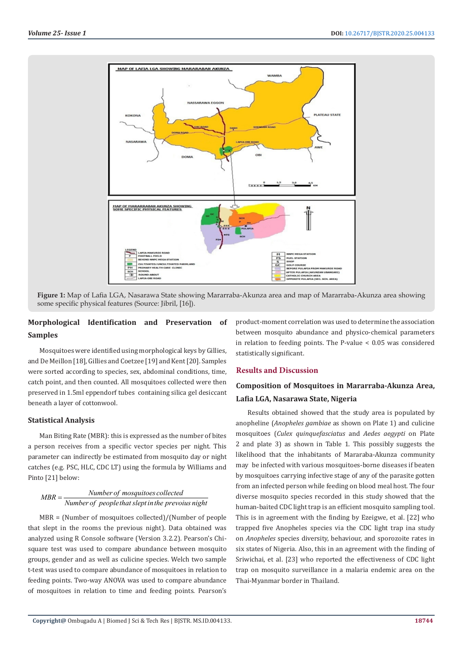

**Figure 1:** Map of Lafia LGA, Nasarawa State showing Mararraba-Akunza area and map of Mararraba-Akunza area showing some specific physical features (Source: Jibril, [16]).

# **Morphological Identification and Preservation of Samples**

Mosquitoes were identified using morphological keys by Gillies, and De Meillon [18], Gillies and Coetzee [19] and Kent [20]. Samples were sorted according to species, sex, abdominal conditions, time, catch point, and then counted. All mosquitoes collected were then preserved in 1.5ml eppendorf tubes containing silica gel desiccant beneath a layer of cottonwool.

### **Statistical Analysis**

Man Biting Rate (MBR): this is expressed as the number of bites a person receives from a specific vector species per night. This parameter can indirectly be estimated from mosquito day or night catches (e.g. PSC, HLC, CDC LT) using the formula by Williams and Pinto [21] below:

# *Number of mosquitoes collected MBR*  $=\frac{1}{\text{Number of people that slept in the previous night}}$

MBR = (Number of mosquitoes collected)/(Number of people that slept in the rooms the previous night). Data obtained was analyzed using R Console software (Version 3.2.2). Pearson's Chisquare test was used to compare abundance between mosquito groups, gender and as well as culicine species. Welch two sample t-test was used to compare abundance of mosquitoes in relation to feeding points. Two-way ANOVA was used to compare abundance of mosquitoes in relation to time and feeding points. Pearson's

product-moment correlation was used to determine the association between mosquito abundance and physico-chemical parameters in relation to feeding points. The P-value < 0.05 was considered statistically significant.

### **Results and Discussion**

# **Composition of Mosquitoes in Mararraba-Akunza Area, Lafia LGA, Nasarawa State, Nigeria**

Results obtained showed that the study area is populated by anopheline (*Anopheles gambiae* as shown on Plate 1) and culicine mosquitoes (*Culex quinquefasciatus* and *Aedes aegypti* on Plate 2 and plate 3) as shown in Table 1. This possibly suggests the likelihood that the inhabitants of Mararaba-Akunza community may be infected with various mosquitoes-borne diseases if beaten by mosquitoes carrying infective stage of any of the parasite gotten from an infected person while feeding on blood meal host. The four diverse mosquito species recorded in this study showed that the human-baited CDC light trap is an efficient mosquito sampling tool. This is in agreement with the finding by Ezeigwe, et al. [22] who trapped five Anopheles species via the CDC light trap ina study on *Anopheles* species diversity, behaviour, and sporozoite rates in six states of Nigeria. Also, this in an agreement with the finding of Sriwichai, et al. [23] who reported the effectiveness of CDC light trap on mosquito surveillance in a malaria endemic area on the Thai-Myanmar border in Thailand.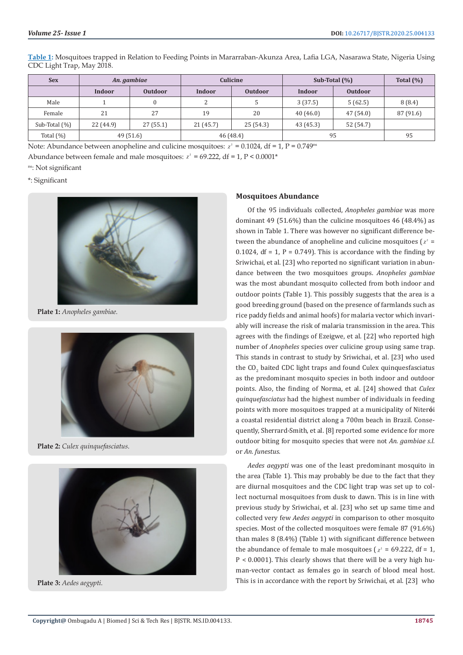| <u>Table 1</u> : Mosquitoes trapped in Relation to Feeding Points in Mararraban-Akunza Area, Lafia LGA, Nasarawa State, Nigeria Using |  |
|---------------------------------------------------------------------------------------------------------------------------------------|--|
| CDC Light Trap, May 2018.                                                                                                             |  |
|                                                                                                                                       |  |

| <b>Sex</b>       | An. gambiae |                | Culicine  |                | Sub-Total $(\%)$ | Total $(\% )$  |           |
|------------------|-------------|----------------|-----------|----------------|------------------|----------------|-----------|
|                  | Indoor      | <b>Outdoor</b> | Indoor    | <b>Outdoor</b> | Indoor           | <b>Outdoor</b> |           |
| Male             |             |                |           |                | 3(37.5)          | 5(62.5)        | 8(8.4)    |
| Female           | 21          | 27             | 19        | 20             | 40 (46.0)        | 47 (54.0)      | 87 (91.6) |
| Sub-Total $(\%)$ | 22 (44.9)   | 27(55.1)       | 21(45.7)  | 25(54.3)       | 43 (45.3)        | 52 (54.7)      |           |
| Total $(\%)$     | 49(51.6)    |                | 46 (48.4) |                | 95               | 95             |           |

Note: Abundance between anopheline and culicine mosquitoes:  $\chi^2 = 0.1024$ , df = 1, P = 0.749<sup>ns</sup>

Abundance between female and male mosquitoes:  $x^2 = 69.222$ , df = 1, P < 0.0001\*

ns: Not significant

\*: Significant



**Plate 1:** *Anopheles gambiae.*



**Plate 2:** *Culex quinquefasciatus.*



**Plate 3:** *Aedes aegypti.*

#### **Mosquitoes Abundance**

Of the 95 individuals collected, *Anopheles gambiae* was more dominant 49 (51.6%) than the culicine mosquitoes 46 (48.4%) as shown in Table 1. There was however no significant difference between the abundance of anopheline and culicine mosquitoes ( $x^2 =$ 0.1024, df = 1,  $P = 0.749$ . This is accordance with the finding by Sriwichai, et al. [23] who reported no significant variation in abundance between the two mosquitoes groups. *Anopheles gambiae*  was the most abundant mosquito collected from both indoor and outdoor points (Table 1). This possibly suggests that the area is a good breeding ground (based on the presence of farmlands such as rice paddy fields and animal hoofs) for malaria vector which invariably will increase the risk of malaria transmission in the area. This agrees with the findings of Ezeigwe, et al. [22] who reported high number of *Anopheles* species over culicine group using same trap. This stands in contrast to study by Sriwichai, et al. [23] who used the  $\text{CO}_2$  baited CDC light traps and found Culex quinquesfasciatus as the predominant mosquito species in both indoor and outdoor points. Also, the finding of Norma, et al. [24] showed that *Culex quinquefasciatus* had the highest number of individuals in feeding points with more mosquitoes trapped at a municipality of Niter**ó**i a coastal residential district along a 700m beach in Brazil. Consequently, Sherrard-Smith, et al. [8] reported some evidence for more outdoor biting for mosquito species that were not *An. gambiae s.l.* or *An. funestus*.

*Aedes aegypti* was one of the least predominant mosquito in the area (Table 1). This may probably be due to the fact that they are diurnal mosquitoes and the CDC light trap was set up to collect nocturnal mosquitoes from dusk to dawn. This is in line with previous study by Sriwichai, et al. [23] who set up same time and collected very few *Aedes aegypti* in comparison to other mosquito species. Most of the collected mosquitoes were female 87 (91.6%) than males 8 (8.4%) (Table 1) with significant difference between the abundance of female to male mosquitoes ( $\chi^2$  = 69.222, df = 1,  $P < 0.0001$ ). This clearly shows that there will be a very high human-vector contact as females go in search of blood meal host. This is in accordance with the report by Sriwichai, et al. [23] who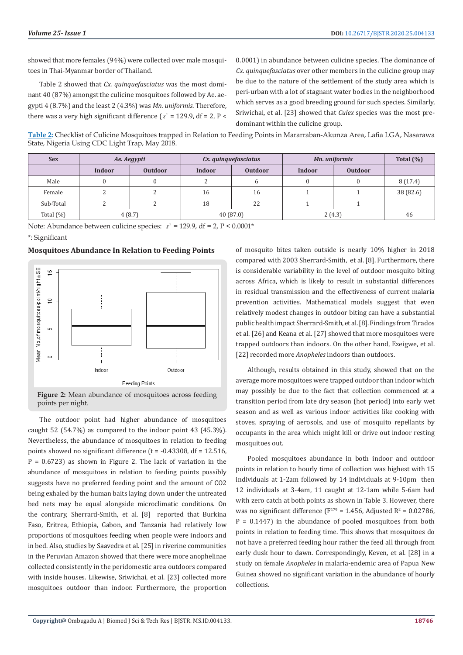showed that more females (94%) were collected over male mosquitoes in Thai-Myanmar border of Thailand.

Table 2 showed that *Cx. quinquefasciatus* was the most dominant 40 (87%) amongst the culicine mosquitoes followed by Ae. aegypti 4 (8.7%) and the least 2 (4.3%) was *Mn. uniformis*. Therefore, there was a very high significant difference ( $x^2 = 129.9$ , df = 2, P <

0.0001) in abundance between culicine species. The dominance of *Cx. quinquefasciatus* over other members in the culicine group may be due to the nature of the settlement of the study area which is peri-urban with a lot of stagnant water bodies in the neighborhood which serves as a good breeding ground for such species. Similarly, Sriwichai, et al. [23] showed that *Culex* species was the most predominant within the culicine group.

**Table 2:** Checklist of Culicine Mosquitoes trapped in Relation to Feeding Points in Mararraban-Akunza Area, Lafia LGA, Nasarawa State, Nigeria Using CDC Light Trap, May 2018.

| <b>Sex</b>   | Ae. Aegypti |                | Cx. quinquefasciatus |                | Mn. uniformis | Total $(\%)$   |           |
|--------------|-------------|----------------|----------------------|----------------|---------------|----------------|-----------|
|              | Indoor      | <b>Outdoor</b> | Indoor               | <b>Outdoor</b> | Indoor        | <b>Outdoor</b> |           |
| Male         |             |                | ົ                    |                |               |                | 8(17.4)   |
| Female       |             |                | 16                   | 16             |               |                | 38 (82.6) |
| Sub-Total    |             |                | 18                   | 22             |               |                |           |
| Total $(\%)$ | 4(8.7)      |                | 40(87.0)             |                | 2(4.3)        | 46             |           |

Note: Abundance between culicine species:  $\chi^2 = 129.9$ , df = 2, P < 0.0001\*

\*: Significant

#### **Mosquitoes Abundance In Relation to Feeding Points**





The outdoor point had higher abundance of mosquitoes caught 52 (54.7%) as compared to the indoor point 43 (45.3%). Nevertheless, the abundance of mosquitoes in relation to feeding points showed no significant difference  $(t = -0.43308, df = 12.516,$  $P = 0.6723$ ) as shown in Figure 2. The lack of variation in the abundance of mosquitoes in relation to feeding points possibly suggests have no preferred feeding point and the amount of CO2 being exhaled by the human baits laying down under the untreated bed nets may be equal alongside microclimatic conditions. On the contrary, Sherrard-Smith, et al. [8] reported that Burkina Faso, Eritrea, Ethiopia, Gabon, and Tanzania had relatively low proportions of mosquitoes feeding when people were indoors and in bed. Also, studies by Saavedra et al. [25] in riverine communities in the Peruvian Amazon showed that there were more anophelinae collected consistently in the peridomestic area outdoors compared with inside houses. Likewise, Sriwichai, et al. [23] collected more mosquitoes outdoor than indoor. Furthermore, the proportion

of mosquito bites taken outside is nearly 10% higher in 2018 compared with 2003 Sherrard-Smith, et al. [8]. Furthermore, there is considerable variability in the level of outdoor mosquito biting across Africa, which is likely to result in substantial differences in residual transmission and the effectiveness of current malaria prevention activities. Mathematical models suggest that even relatively modest changes in outdoor biting can have a substantial public health impact Sherrard-Smith, et al. [8]. Findings from Tirados et al. [26] and Keana et al. [27] showed that more mosquitoes were trapped outdoors than indoors. On the other hand, Ezeigwe, et al. [22] recorded more *Anopheles* indoors than outdoors.

Although, results obtained in this study, showed that on the average more mosquitoes were trapped outdoor than indoor which may possibly be due to the fact that collection commenced at a transition period from late dry season (hot period) into early wet season and as well as various indoor activities like cooking with stoves, spraying of aerosols, and use of mosquito repellants by occupants in the area which might kill or drive out indoor resting mosquitoes out.

Pooled mosquitoes abundance in both indoor and outdoor points in relation to hourly time of collection was highest with 15 individuals at 1-2am followed by 14 individuals at 9-10pm then 12 individuals at 3-4am, 11 caught at 12-1am while 5-6am had with zero catch at both points as shown in Table 3. However, there was no significant difference  $(F^{179} = 1.456)$ , Adjusted R<sup>2</sup> = 0.02786,  $P = 0.1447$ ) in the abundance of pooled mosquitoes from both points in relation to feeding time. This shows that mosquitoes do not have a preferred feeding hour rather the feed all through from early dusk hour to dawn. Correspondingly, Keven, et al. [28] in a study on female *Anopheles* in malaria-endemic area of Papua New Guinea showed no significant variation in the abundance of hourly collections.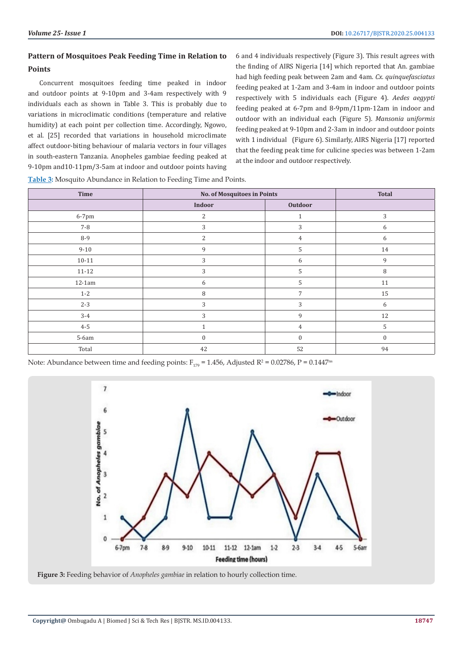# **Pattern of Mosquitoes Peak Feeding Time in Relation to Points**

Concurrent mosquitoes feeding time peaked in indoor and outdoor points at 9-10pm and 3-4am respectively with 9 individuals each as shown in Table 3. This is probably due to variations in microclimatic conditions (temperature and relative humidity) at each point per collection time. Accordingly, Ngowo, et al. [25] recorded that variations in household microclimate affect outdoor-biting behaviour of malaria vectors in four villages in south-eastern Tanzania. Anopheles gambiae feeding peaked at 9-10pm and10-11pm/3-5am at indoor and outdoor points having

6 and 4 individuals respectively (Figure 3). This result agrees with the finding of AIRS Nigeria [14] which reported that An. gambiae had high feeding peak between 2am and 4am. *Cx. quinquefasciatus* feeding peaked at 1-2am and 3-4am in indoor and outdoor points respectively with 5 individuals each (Figure 4). *Aedes aegypti* feeding peaked at 6-7pm and 8-9pm/11pm-12am in indoor and outdoor with an individual each (Figure 5). *Mansonia uniformis*  feeding peaked at 9-10pm and 2-3am in indoor and outdoor points with 1 individual (Figure 6). Similarly, AIRS Nigeria [17] reported that the feeding peak time for culicine species was between 1-2am at the indoor and outdoor respectively.

| Time      | <b>No. of Mosquitoes in Points</b> | <b>Total</b>     |                  |
|-----------|------------------------------------|------------------|------------------|
|           | Indoor                             | Outdoor          |                  |
| 6-7pm     | 2                                  | 1                | 3                |
| $7 - 8$   | 3                                  | 3                | 6                |
| 8-9       | $\overline{2}$                     | $\overline{4}$   | 6                |
| $9 - 10$  | 9                                  | 5                | 14               |
| $10 - 11$ | 3                                  | 6                | 9                |
| $11 - 12$ | 3                                  | 5                | 8                |
| $12-1am$  | 6                                  | 5                | $11\,$           |
| $1 - 2$   | 8                                  | 7                | 15               |
| $2 - 3$   | 3                                  | 3                | 6                |
| $3 - 4$   | 3                                  | 9                | 12               |
| $4 - 5$   | $\mathbf{1}$                       | $\overline{4}$   | 5                |
| $5-6am$   | $\boldsymbol{0}$                   | $\boldsymbol{0}$ | $\boldsymbol{0}$ |
| Total     | 42                                 | 52               | 94               |

**Table 3:** Mosquito Abundance in Relation to Feeding Time and Points.

Note: Abundance between time and feeding points:  $F_{179}$  = 1.456, Adjusted R<sup>2</sup> = 0.02786, P = 0.1447<sup>ns</sup>



**Figure 3:** Feeding behavior of *Anopheles gambiae* in relation to hourly collection time.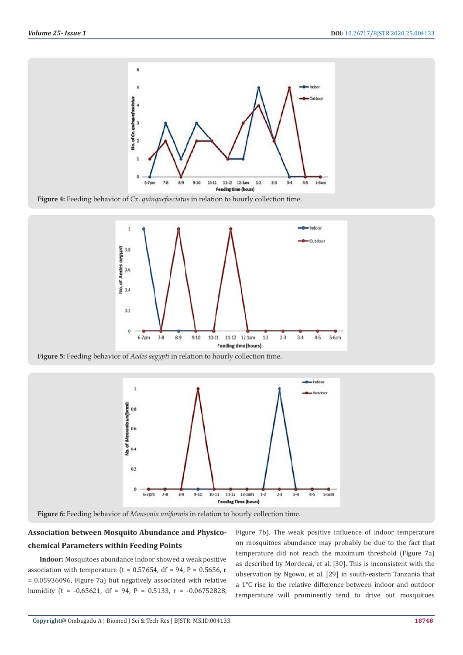

**Figure 4:** Feeding behavior of *Cx. quinquefasciatus* in relation to hourly collection time.



**Figure 5:** Feeding behavior of *Aedes aegypti* in relation to hourly collection time.



**Figure 6:** Feeding behavior of *Mansonia uniformis* in relation to hourly collection time.

# **Association between Mosquito Abundance and Physicochemical Parameters within Feeding Points**

**Indoor:** Mosquitoes abundance indoor showed a weak positive association with temperature (t =  $0.57654$ , df =  $94$ , P =  $0.5656$ , r = 0.05936096, Figure 7a) but negatively associated with relative humidity (t =  $-0.65621$ , df = 94, P = 0.5133, r =  $-0.06752828$ ,

Figure 7b). The weak positive influence of indoor temperature on mosquitoes abundance may probably be due to the fact that temperature did not reach the maximum threshold (Figure 7a) as described by Mordecai, et al. [30]. This is inconsistent with the observation by Ngowo, et al. [29] in south-eastern Tanzania that a 1℃ rise in the relative difference between indoor and outdoor temperature will prominently tend to drive out mosquitoes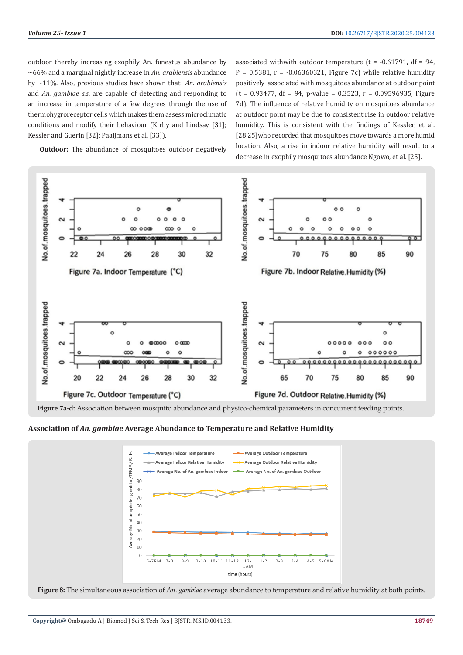outdoor thereby increasing exophily An. funestus abundance by ~66% and a marginal nightly increase in *An. arabiensis* abundance by ~11%. Also, previous studies have shown that *An. arabiensis* and *An. gambiae s.s*. are capable of detecting and responding to an increase in temperature of a few degrees through the use of thermohygroreceptor cells which makes them assess microclimatic conditions and modify their behaviour (Kirby and Lindsay [31]; Kessler and Guerin [32]; Paaijmans et al. [33]).

associated withwith outdoor temperature  $(t = -0.61791, df = 94,$ P =  $0.5381$ , r =  $-0.06360321$ , Figure 7c) while relative humidity positively associated with mosquitoes abundance at outdoor point  $(t = 0.93477, df = 94, p-value = 0.3523, r = 0.09596935, Figure$ 7d). The influence of relative humidity on mosquitoes abundance at outdoor point may be due to consistent rise in outdoor relative humidity. This is consistent with the findings of Kessler, et al. [28,25] who recorded that mosquitoes move towards a more humid location. Also, a rise in indoor relative humidity will result to a decrease in exophily mosquitoes abundance Ngowo, et al. [25].

**Outdoor:** The abundance of mosquitoes outdoor negatively



**Figure 7a-d:** Association between mosquito abundance and physico-chemical parameters in concurrent feeding points.

**Association of** *An. gambiae* **Average Abundance to Temperature and Relative Humidity** 



**Figure 8:** The simultaneous association of *An. gambiae* average abundance to temperature and relative humidity at both points.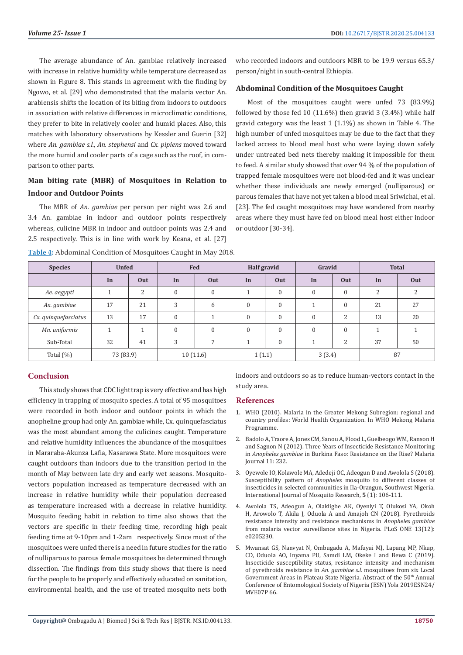The average abundance of An. gambiae relatively increased with increase in relative humidity while temperature decreased as shown in Figure 8. This stands in agreement with the finding by Ngowo, et al. [29] who demonstrated that the malaria vector An. arabiensis shifts the location of its biting from indoors to outdoors in association with relative differences in microclimatic conditions, they prefer to bite in relatively cooler and humid places. Also, this matches with laboratory observations by Kessler and Guerin [32] where *An. gambiae s.l.*, *An. stephensi* and *Cx. pipiens* moved toward the more humid and cooler parts of a cage such as the roof, in comparison to other parts.

# **Man biting rate (MBR) of Mosquitoes in Relation to Indoor and Outdoor Points**

The MBR of *An. gambiae* per person per night was 2.6 and 3.4 An. gambiae in indoor and outdoor points respectively whereas, culicine MBR in indoor and outdoor points was 2.4 and 2.5 respectively. This is in line with work by Keana, et al. [27]

| Table 4: Abdominal Condition of Mosquitoes Caught in May 2018. |  |  |
|----------------------------------------------------------------|--|--|
|                                                                |  |  |

who recorded indoors and outdoors MBR to be 19.9 versus 65.3/ person/night in south-central Ethiopia.

#### **Abdominal Condition of the Mosquitoes Caught**

Most of the mosquitoes caught were unfed 73 (83.9%) followed by those fed 10 (11.6%) then gravid 3 (3.4%) while half gravid category was the least 1 (1.1%) as shown in Table 4. The high number of unfed mosquitoes may be due to the fact that they lacked access to blood meal host who were laying down safely under untreated bed nets thereby making it impossible for them to feed. A similar study showed that over 94 % of the population of trapped female mosquitoes were not blood-fed and it was unclear whether these individuals are newly emerged (nulliparous) or parous females that have not yet taken a blood meal Sriwichai, et al. [23]. The fed caught mosquitoes may have wandered from nearby areas where they must have fed on blood meal host either indoor or outdoor [30-34].

| <b>Species</b>       | <b>Unfed</b> |                | Fed          |              | <b>Half gravid</b> |              | Gravid       |                  | <b>Total</b> |     |
|----------------------|--------------|----------------|--------------|--------------|--------------------|--------------|--------------|------------------|--------------|-----|
|                      | In           | Out            | In           | Out          | In                 | Out          | In           | Out              | In           | Out |
| Ae. aegypti          |              | 2              | $\mathbf{0}$ | $\mathbf{0}$ |                    | $\mathbf{0}$ | $\mathbf{0}$ | $\mathbf{0}$     | 2            | 2   |
| An. gambiae          | 17           | 21             | 3            | 6            | $\mathbf{0}$       | $\mathbf{0}$ |              | $\boldsymbol{0}$ | 21           | 27  |
| Cx. quinquefasciatus | 13           | 17             | $\Omega$     |              | $\theta$           | $\theta$     | $\Omega$     | 2                | 13           | 20  |
| Mn. uniformis        |              | $\overline{ }$ | $\Omega$     | $\mathbf{0}$ | $\mathbf{0}$       | $\mathbf{0}$ | $\Omega$     | $\mathbf{0}$     |              |     |
| Sub-Total            | 32           | 41             | 3            | 7            |                    | $\mathbf{0}$ |              | 2                | 37           | 50  |
| Total $(\%)$         | 73 (83.9)    |                |              | 10(11.6)     | 1(1.1)             |              | 3(3.4)       |                  |              | 87  |

#### **Conclusion**

This study shows that CDC light trap is very effective and has high efficiency in trapping of mosquito species. A total of 95 mosquitoes were recorded in both indoor and outdoor points in which the anopheline group had only An. gambiae while, Cx. quinquefasciatus was the most abundant among the culicines caught. Temperature and relative humidity influences the abundance of the mosquitoes in Mararaba-Akunza Lafia, Nasarawa State. More mosquitoes were caught outdoors than indoors due to the transition period in the month of May between late dry and early wet seasons. Mosquitovectors population increased as temperature decreased with an increase in relative humidity while their population decreased as temperature increased with a decrease in relative humidity. Mosquito feeding habit in relation to time also shows that the vectors are specific in their feeding time, recording high peak feeding time at 9-10pm and 1-2am respectively. Since most of the mosquitoes were unfed there is a need in future studies for the ratio of nulliparous to parous female mosquitoes be determined through dissection. The findings from this study shows that there is need for the people to be properly and effectively educated on sanitation, environmental health, and the use of treated mosquito nets both

indoors and outdoors so as to reduce human-vectors contact in the study area.

#### **References**

- 1. WHO (2010). Malaria in the Greater Mekong Subregion: regional and country profiles: World Health Organization. In WHO Mekong Malaria Programme.
- 2. [Badolo A, Traore A, Jones CM, Sanou A, Flood L, Guelbeogo WM, Ranson H](https://malariajournal.biomedcentral.com/articles/10.1186/1475-2875-11-232) [and Sagnon N \(2012\). Three Years](https://malariajournal.biomedcentral.com/articles/10.1186/1475-2875-11-232) [of Insecticide Resistance Monitoring](https://malariajournal.biomedcentral.com/articles/10.1186/1475-2875-11-232) in *[Anopheles gambiae](https://malariajournal.biomedcentral.com/articles/10.1186/1475-2875-11-232)* in Burkin[a Faso: Resistance on the Rise? Malaria](https://malariajournal.biomedcentral.com/articles/10.1186/1475-2875-11-232) [Journal 11: 232.](https://malariajournal.biomedcentral.com/articles/10.1186/1475-2875-11-232)
- 3. Oyewole IO, Kolawole MA, Adedeji OC, Adeogun D and Awolola S (2018). Susceptibility pattern of *Anopheles* mosquito to different classes of insecticides in selected communities in Ila-Orangun, Southwest Nigeria. International Journal of Mosquito Research, **5** (1): 106-111.
- 4. [Awolola TS, Adeogun A, Olakiigbe AK, Oyeniyi T, Olukosi YA, Okoh](https://journals.plos.org/plosone/article?id=10.1371/journal.pone.0205230) [H, Arowolo T, Akila J, Oduola A and Amajoh CN \(2018\). Pyrethroids](https://journals.plos.org/plosone/article?id=10.1371/journal.pone.0205230) [resistance intensity and resistance mechanisms in](https://journals.plos.org/plosone/article?id=10.1371/journal.pone.0205230) *Anopheles gambiae* [from malaria vector surveillance sites in Nigeria. PLoS ONE 13\(12\):](https://journals.plos.org/plosone/article?id=10.1371/journal.pone.0205230) [e0205230.](https://journals.plos.org/plosone/article?id=10.1371/journal.pone.0205230)
- 5. Mwansat GS, Nanvyat N, Ombugadu A, Mafuyai MJ, Lapang MP, Nkup, CD, Oduola AO, Inyama PU, Samdi LM, Okeke I and Bewa C (2019). Insecticide susceptibility status, resistance intensity and mechanism of pyrethroids resistance in *An. gambiae s.l.* mosquitoes from six Local Government Areas in Plateau State Nigeria. Abstract of the 50<sup>th</sup> Annual Conference of Entomological Society of Nigeria (ESN) Yola 2019ESN24/ MVE07P 66.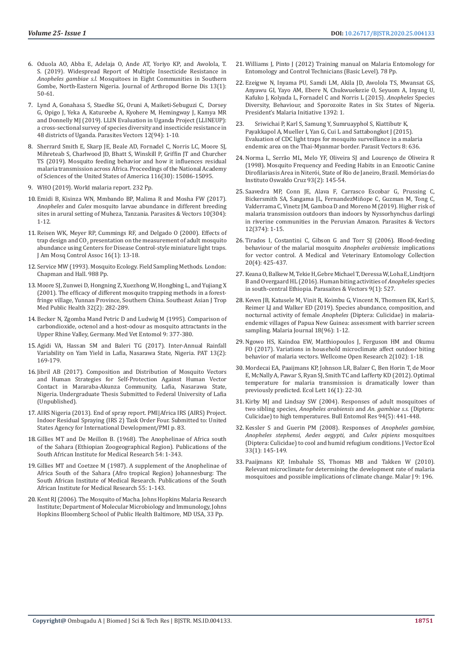- 6. [Oduola AO, Abba E, Adelaja O, Ande AT, Yoriyo KP, and Awolola, T.](https://www.ncbi.nlm.nih.gov/pmc/articles/PMC6643017/)  [S. \(2019\). Widespread Report of Multiple Insecticide Resistance in](https://www.ncbi.nlm.nih.gov/pmc/articles/PMC6643017/)  *Anopheles gambiae s.l.* [Mosquitoes in Eight Communities in Southern](https://www.ncbi.nlm.nih.gov/pmc/articles/PMC6643017/)  [Gombe, North-Eastern Nigeria. Journal of Arthropod Borne Dis 13\(1\):](https://www.ncbi.nlm.nih.gov/pmc/articles/PMC6643017/)  [50-61.](https://www.ncbi.nlm.nih.gov/pmc/articles/PMC6643017/)
- 7. Lynd A, Gonahasa S, Staedke SG, Oruni A, [Maiketi-Sebuguzi C, Dorsey](https://parasitesandvectors.biomedcentral.com/articles/10.1186/s13071-019-3353-7)  G, Opigo J, Yeka A, Katureebe A, Kyohere M, [Hemingway J, Kamya MR](https://parasitesandvectors.biomedcentral.com/articles/10.1186/s13071-019-3353-7)  and Donnelly MJ [\(2019\). LLIN Evaluation in Uganda Project \(LLINEUP\):](https://parasitesandvectors.biomedcentral.com/articles/10.1186/s13071-019-3353-7)  [a cross-sectional survey of species diversity and insecticide resistance in](https://parasitesandvectors.biomedcentral.com/articles/10.1186/s13071-019-3353-7)  [48 districts of Uganda. Parasites Vectors 12\(94\): 1-10.](https://parasitesandvectors.biomedcentral.com/articles/10.1186/s13071-019-3353-7)
- 8. [Sherrard Smith E, Skarp JE, Beale AD, Fornadel C, Norris LC,](https://www.ncbi.nlm.nih.gov/pubmed/31285346) Moore SJ, [Mihreteab S, Charlwood JD, Bhatt S, Winskill P, Griffin JT and Churcher](https://www.ncbi.nlm.nih.gov/pubmed/31285346)  TS [\(2019\). Mosquito feeding behavior and how it influences residual](https://www.ncbi.nlm.nih.gov/pubmed/31285346)  [malaria transmission across Africa. Proceedings of the National Academy](https://www.ncbi.nlm.nih.gov/pubmed/31285346)  [of Sciences of the United States of America 116\(30\): 15086-15095.](https://www.ncbi.nlm.nih.gov/pubmed/31285346)
- 9. WHO (2019). World malaria report. 232 Pp.
- 10. Emidi B, Kisinza WN, Mmbando BP, Malima R and Mosha FW (2017). *Anopheles* and *Culex* mosquito larvae abundance in different breeding sites in arural setting of Muheza, Tanzania. Parasites & Vectors 10(304): 1-12.
- 11. [Reisen WK, Meyer RP, Cummings RF, and Delgado O \(2000\). Effects of](https://www.ncbi.nlm.nih.gov/pubmed/10757485)  trap design and  $CO<sub>2</sub>$  presentation on the measurement of adult mosquito [abundance using Centers for Disease Control-style miniature light traps.](https://www.ncbi.nlm.nih.gov/pubmed/10757485)  [J Am Mosq Control Assoc 16\(1\): 13-18.](https://www.ncbi.nlm.nih.gov/pubmed/10757485)
- 12. [Service MW \(1993\). Mosquito Ecology. Field Sampling Methods. London:](https://www.springer.com/gp/book/9789401581134)  [Chapman and Hall. 988 Pp.](https://www.springer.com/gp/book/9789401581134)
- 13. [Moore SJ, Zunwei D, Hongning Z, Xuezhong W, Hongbing L, and Yujiang X](https://www.ncbi.nlm.nih.gov/pubmed/11556577) [\(2001\). The efficacy of different mosquito trapping methods in a forest](https://www.ncbi.nlm.nih.gov/pubmed/11556577)[fringe village, Yunnan Province, Southern China. Southeast Asian J Trop](https://www.ncbi.nlm.nih.gov/pubmed/11556577)  [Med Public Health 32\(2\): 282-289.](https://www.ncbi.nlm.nih.gov/pubmed/11556577)
- 14. [Becker N, Zgomba Mand Petric D and Ludwig M \(1995\). Comparison of](https://onlinelibrary.wiley.com/doi/abs/10.1111/j.1365-2915.1995.tb00008.x)  [carbondioxide, octenol and a host-odour as mosquito attractants in the](https://onlinelibrary.wiley.com/doi/abs/10.1111/j.1365-2915.1995.tb00008.x)  [Upper Rhine Valley, Germany. Med Vet Entomol 9: 377-380.](https://onlinelibrary.wiley.com/doi/abs/10.1111/j.1365-2915.1995.tb00008.x)
- 15. [Agidi VA, Hassan SM and Baleri TG \(2017\). Inter-Annual Rainfall](https://www.researchgate.net/publication/326461649_Inter-Annual_Rainfall_Variability_on_Yam_Yield_in_Lafia_Nasarawa_State_Nigeria)  [Variability on Yam Yield in Lafia, Nasarawa State, Nigeria. PAT 13\(2\):](https://www.researchgate.net/publication/326461649_Inter-Annual_Rainfall_Variability_on_Yam_Yield_in_Lafia_Nasarawa_State_Nigeria)  [169-179.](https://www.researchgate.net/publication/326461649_Inter-Annual_Rainfall_Variability_on_Yam_Yield_in_Lafia_Nasarawa_State_Nigeria)
- 16. Jibril AB (2017). Composition and Distribution of Mosquito Vectors and Human Strategies for Self-Protection Against Human Vector Contact in Mararaba-Akunza Community, Lafia, Nasarawa State, Nigeria. Undergraduate Thesis Submitted to Federal University of Lafia (Unpublished).
- 17. AIRS Nigeria (2013). End of spray report. PMI|Africa IRS (AIRS) Project. Indoor Residual Spraying (IRS 2) Task Order Four. Submitted to: United States Agency for International Development/PMI p. 83.
- 18. [Gillies MT and De Meillon B. \(1968\). The Anophelinae of Africa south](http://mosquito-taxonomic-inventory.info/anophelinae-africa-south-sahara-ethiopian-zoogeographical-region)  [of the Sahara \(Ethiopian Zoogeographical Region\). Publications of the](http://mosquito-taxonomic-inventory.info/anophelinae-africa-south-sahara-ethiopian-zoogeographical-region)  [South African Institute for Medical Research 54: 1-343.](http://mosquito-taxonomic-inventory.info/anophelinae-africa-south-sahara-ethiopian-zoogeographical-region)
- 19. [Gillies MT and Coetzee M \(1987\). A supplement of the Anophelinae of](http://mosquito-taxonomic-inventory.info/supplement-anophelinae-africa-south-sahara-afrotropical-region)  [Africa South of the Sahara \(Afro tropical Region\) Johannesburg: The](http://mosquito-taxonomic-inventory.info/supplement-anophelinae-africa-south-sahara-afrotropical-region)  [South African Institute of Medical Research. Publications of the South](http://mosquito-taxonomic-inventory.info/supplement-anophelinae-africa-south-sahara-afrotropical-region)  [African Institute for Medical Research 55: 1-143.](http://mosquito-taxonomic-inventory.info/supplement-anophelinae-africa-south-sahara-afrotropical-region)
- 20. Kent RJ (2006). The Mosquito of Macha. Johns Hopkins Malaria Research Institute; Department of Molecular Microbiology and Immunology, Johns Hopkins Bloomberg School of Public Health Baltimore, MD USA, 33 Pp.
- 21. [Williams J, Pinto J \(2012\) Training manual on Malaria Entomology for](https://www.paho.org/hq/dmdocuments/2012/2012-Training-manual-malaria-entomology.pdf) [Entomology and Control Technicians \(Basic Level\). 78 Pp.](https://www.paho.org/hq/dmdocuments/2012/2012-Training-manual-malaria-entomology.pdf)
- 22. [Ezeigwe N, Inyama PU, Samdi LM, Akila JD, Awolola TS, Mwansat GS,](http://www.africairs.net/wp-content/uploads/2015/11/Anopheles-Species-Diversity-Behavior-and-Sporozoite-Rates-in-Six-States-in-Nigeria.pdf) [Anyawu GI, Yayo AM, Ebere N, Chukwuekezie O, Seyuom A, Inyang U,](http://www.africairs.net/wp-content/uploads/2015/11/Anopheles-Species-Diversity-Behavior-and-Sporozoite-Rates-in-Six-States-in-Nigeria.pdf) [Kafuko J, Kolyada L, Fornadel C and Norris L](http://www.africairs.net/wp-content/uploads/2015/11/Anopheles-Species-Diversity-Behavior-and-Sporozoite-Rates-in-Six-States-in-Nigeria.pdf) (2015). *Anopheles* Species [Diversity, Behaviour, and Sporozoite Rates in Six States of Nigeria.](http://www.africairs.net/wp-content/uploads/2015/11/Anopheles-Species-Diversity-Behavior-and-Sporozoite-Rates-in-Six-States-in-Nigeria.pdf) [President's Malaria Initiative 1392: 1.](http://www.africairs.net/wp-content/uploads/2015/11/Anopheles-Species-Diversity-Behavior-and-Sporozoite-Rates-in-Six-States-in-Nigeria.pdf)
- 23. Sriwichai P, Karl S, Samung Y, Sumruayphol S, Kiattibutr K, Payakkapol A, [Mueller I,](https://www.ncbi.nlm.nih.gov/pubmed/?term=Mueller%20I%5BAuthor%5D&cauthor=true&cauthor_uid=26666683) [Yan G](https://www.ncbi.nlm.nih.gov/pubmed/?term=Yan%20G%5BAuthor%5D&cauthor=true&cauthor_uid=26666683), [Cui L](https://www.ncbi.nlm.nih.gov/pubmed/?term=Cui%20L%5BAuthor%5D&cauthor=true&cauthor_uid=26666683) and [Sattabongkot J](https://www.ncbi.nlm.nih.gov/pubmed/?term=Sattabongkot%20J%5BAuthor%5D&cauthor=true&cauthor_uid=26666683) (2015). [Evaluation of CDC light traps for mosquito surveillance in a malaria](https://www.ncbi.nlm.nih.gov/pubmed/?term=Sattabongkot%20J%5BAuthor%5D&cauthor=true&cauthor_uid=26666683)  [endemic area on the Thai-Myanmar border. Parasit Vectors 8: 636.](https://www.ncbi.nlm.nih.gov/pubmed/?term=Sattabongkot%20J%5BAuthor%5D&cauthor=true&cauthor_uid=26666683)
- 24. [Norma L, Serrão ML, Melo YF, Oliveira SJ and Lourenço de Oliveira R](http://www.scielo.br/scielo.php?script=sci_arttext&pid=S0074-02761998000200002) [\(1998\). Mosquito Frequency and Feeding Habits in an Enzootic Canine](http://www.scielo.br/scielo.php?script=sci_arttext&pid=S0074-02761998000200002) [Dirofilariasis Area in Niterói, State of Rio de Janeiro, Brazil. Memórias do](http://www.scielo.br/scielo.php?script=sci_arttext&pid=S0074-02761998000200002) [Instituto Oswaldo Cruz 93\(2\): 145-54.](http://www.scielo.br/scielo.php?script=sci_arttext&pid=S0074-02761998000200002)
- 25. [Saavedra MP, Conn JE, Alava F, Carrasco Escobar G, Prussing C,](https://parasitesandvectors.biomedcentral.com/articles/10.1186/s13071-019-3619-0) [Bickersmith SA, Sangama JL, FernandezMiñope C, Guzman M, Tong C,](https://parasitesandvectors.biomedcentral.com/articles/10.1186/s13071-019-3619-0) [Valderrama C, Vinetz JM, Gamboa D and Moreno M \(2019\). Higher risk of](https://parasitesandvectors.biomedcentral.com/articles/10.1186/s13071-019-3619-0) [malaria transmission outdoors than indoors by Nyssorhynchus darlingi](https://parasitesandvectors.biomedcentral.com/articles/10.1186/s13071-019-3619-0) [in riverine communities in the Peruvian Amazon. Parasites & Vectors](https://parasitesandvectors.biomedcentral.com/articles/10.1186/s13071-019-3619-0) [12\(374\): 1-15.](https://parasitesandvectors.biomedcentral.com/articles/10.1186/s13071-019-3619-0)
- 26. Tirados I, Costantini C, Gibson G and Torr SJ (2006). Blood-feeding [behaviour of the malarial mosquito](https://www.ncbi.nlm.nih.gov/pubmed/17199754) *Anopheles arabiensis*: implications [for vector control. A Medical and Veterinary Entomology Collection](https://www.ncbi.nlm.nih.gov/pubmed/17199754) [20\(4\): 425-437.](https://www.ncbi.nlm.nih.gov/pubmed/17199754)
- 27. [Keana O, Balkew M, Tekie H, Gebre Michael T, Deressa W, Loha E, Lindtjorn](https://www.ncbi.nlm.nih.gov/pubmed/27716416) [B and Overgaard HL \(2016\). Human biting activities of](https://www.ncbi.nlm.nih.gov/pubmed/27716416) *Anopheles* species [in south-central Ethiopia. Parasaites & Vectors 9\(1\): 527.](https://www.ncbi.nlm.nih.gov/pubmed/27716416)
- 28. [Keven JB, Katusele M, Vinit R, Koimbu G, Vincent N,](https://malariajournal.biomedcentral.com/articles/10.1186/s12936-019-2742-x) Thomsen EK, Karl S, Reimer LJ and Walker ED [\(2019\). Species abundance, composition, and](https://malariajournal.biomedcentral.com/articles/10.1186/s12936-019-2742-x) nocturnal activity of female *Anopheles* [\(Diptera: Culicidae\) in malaria](https://malariajournal.biomedcentral.com/articles/10.1186/s12936-019-2742-x)[endemic villages of Papua New Guinea: assessment with barrier screen](https://malariajournal.biomedcentral.com/articles/10.1186/s12936-019-2742-x) [sampling. Malaria Journal 18\(96\): 1-12.](https://malariajournal.biomedcentral.com/articles/10.1186/s12936-019-2742-x)
- 29. [Ngowo HS, Kaindoa EW, Matthiopoulos J, Ferguson HM and Okumu](https://wellcomeopenresearch.org/articles/2-102) [FO \(2017\). Variations in household microclimate affect outdoor biting](https://wellcomeopenresearch.org/articles/2-102) [behavior of malaria vectors. Wellcome Open Research 2\(102\): 1-18.](https://wellcomeopenresearch.org/articles/2-102)
- 30. [Mordecai EA, Paaijmans KP, Johnson LR, Balzer C, Ben Horin T,](https://www.ncbi.nlm.nih.gov/pubmed/23050931) de Moor [E, McNally A, Pawar S, Ryan SJ, Smith TC and Lafferty KD](https://www.ncbi.nlm.nih.gov/pubmed/23050931) (2012). Optimal [temperature for malaria transmission is dramatically lower than](https://www.ncbi.nlm.nih.gov/pubmed/23050931) [previously predicted. Ecol Lett 16\(1\): 22-30.](https://www.ncbi.nlm.nih.gov/pubmed/23050931)
- 31. [Kirby MJ and Lindsay SW \(2004\). Responses of adult mosquitoes of](https://www.ncbi.nlm.nih.gov/pubmed/15385063) two sibling species, *Anopheles arabiensis* and *An. gambiae s.s.* (Diptera: [Culicidae\) to high temperatures. Bull Entomol Res 94\(5\): 441-448.](https://www.ncbi.nlm.nih.gov/pubmed/15385063)
- 32. [Kessler S and Guerin PM \(2008\). Responses of](https://www.ncbi.nlm.nih.gov/pubmed/18697317) *Anopheles gambiae, [Anopheles stephensi, Aedes aegypti,](https://www.ncbi.nlm.nih.gov/pubmed/18697317)* and *Culex pipiens* mosquitoes [\(Diptera: Culicidae\) to cool and humid refugium conditions. J Vector Ecol](https://www.ncbi.nlm.nih.gov/pubmed/18697317) [33\(1\): 145-149.](https://www.ncbi.nlm.nih.gov/pubmed/18697317)
- 33. [Paaijmans KP, Imbahale SS, Thomas MB and Takken W \(2010\).](https://malariajournal.biomedcentral.com/articles/10.1186/1475-2875-9-196) [Relevant microclimate for determining the development rate of malaria](https://malariajournal.biomedcentral.com/articles/10.1186/1475-2875-9-196) [mosquitoes and possible implications of climate change. Malar J 9: 196.](https://malariajournal.biomedcentral.com/articles/10.1186/1475-2875-9-196)